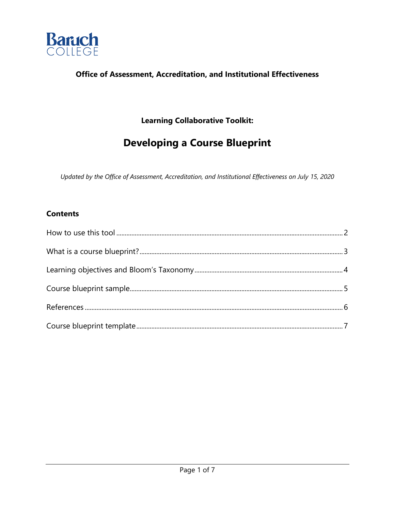

#### **Office of Assessment, Accreditation, and Institutional Effectiveness**

# **Learning Collaborative Toolkit:**

# **Developing a Course Blueprint**

*Updated by the Office of Assessment, Accreditation, and Institutional Effectiveness on July 15, 2020* 

#### **Contents**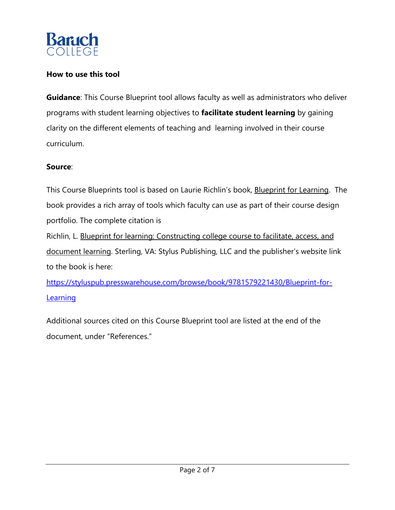

#### **How to use this tool**

**Guidance**: This Course Blueprint tool allows faculty as well as administrators who deliver programs with student learning objectives to **facilitate student learning** by gaining clarity on the different elements of teaching and learning involved in their course curriculum.

#### **Source**:

This Course Blueprints tool is based on Laurie Richlin's book, **Blueprint for Learning**. The book provides a rich array of tools which faculty can use as part of their course design portfolio. The complete citation is Richlin, L. Blueprint for learning: Constructing college course to facilitate, access, and

document learning. Sterling, VA: Stylus Publishing, LLC and the publisher's website link to the book is here:

https://styluspub.presswarehouse.com/browse/book/9781579221430/Blueprint-for-**Learning** 

Additional sources cited on this Course Blueprint tool are listed at the end of the document, under "References."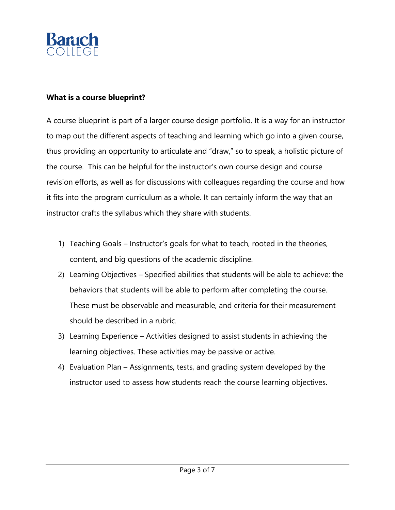

#### **What is a course blueprint?**

A course blueprint is part of a larger course design portfolio. It is a way for an instructor to map out the different aspects of teaching and learning which go into a given course, thus providing an opportunity to articulate and "draw," so to speak, a holistic picture of the course. This can be helpful for the instructor's own course design and course revision efforts, as well as for discussions with colleagues regarding the course and how it fits into the program curriculum as a whole. It can certainly inform the way that an instructor crafts the syllabus which they share with students.

- 1) Teaching Goals Instructor's goals for what to teach, rooted in the theories, content, and big questions of the academic discipline.
- 2) Learning Objectives Specified abilities that students will be able to achieve; the behaviors that students will be able to perform after completing the course. These must be observable and measurable, and criteria for their measurement should be described in a rubric.
- 3) Learning Experience Activities designed to assist students in achieving the learning objectives. These activities may be passive or active.
- 4) Evaluation Plan Assignments, tests, and grading system developed by the instructor used to assess how students reach the course learning objectives.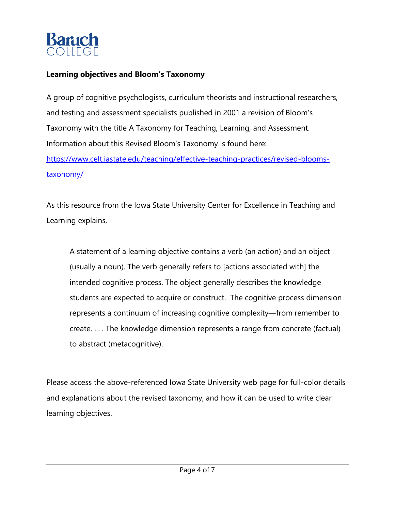

#### **Learning objectives and Bloom's Taxonomy**

A group of cognitive psychologists, curriculum theorists and instructional researchers, and testing and assessment specialists published in 2001 a revision of Bloom's Taxonomy with the title A Taxonomy for Teaching, Learning, and Assessment. Information about this Revised Bloom's Taxonomy is found here: https://www.celt.iastate.edu/teaching/effective-teaching-practices/revised-bloomstaxonomy/

As this resource from the Iowa State University Center for Excellence in Teaching and Learning explains,

A statement of a learning objective contains a verb (an action) and an object (usually a noun). The verb generally refers to [actions associated with] the intended cognitive process. The object generally describes the knowledge students are expected to acquire or construct. The cognitive process dimension represents a continuum of increasing cognitive complexity—from remember to create. . . . The knowledge dimension represents a range from concrete (factual) to abstract (metacognitive).

Please access the above-referenced Iowa State University web page for full-color details and explanations about the revised taxonomy, and how it can be used to write clear learning objectives.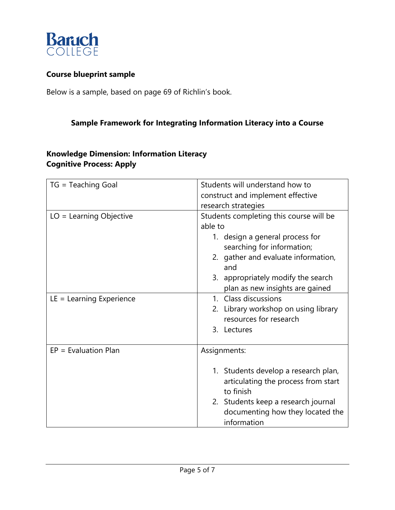

#### **Course blueprint sample**

Below is a sample, based on page 69 of Richlin's book.

# **Sample Framework for Integrating Information Literacy into a Course**

# **Knowledge Dimension: Information Literacy Cognitive Process: Apply**

| TG = Teaching Goal         | Students will understand how to         |
|----------------------------|-----------------------------------------|
|                            | construct and implement effective       |
|                            | research strategies                     |
| $LO = Learning Objective$  | Students completing this course will be |
|                            | able to                                 |
|                            | 1. design a general process for         |
|                            | searching for information;              |
|                            | 2. gather and evaluate information,     |
|                            | and                                     |
|                            | 3. appropriately modify the search      |
|                            | plan as new insights are gained         |
| $LE = Learning Experience$ | 1. Class discussions                    |
|                            | 2. Library workshop on using library    |
|                            | resources for research                  |
|                            | 3. Lectures                             |
|                            |                                         |
| $EP = Evaluation Plan$     | Assignments:                            |
|                            |                                         |
|                            | 1. Students develop a research plan,    |
|                            | articulating the process from start     |
|                            | to finish                               |
|                            | 2. Students keep a research journal     |
|                            | documenting how they located the        |
|                            | information                             |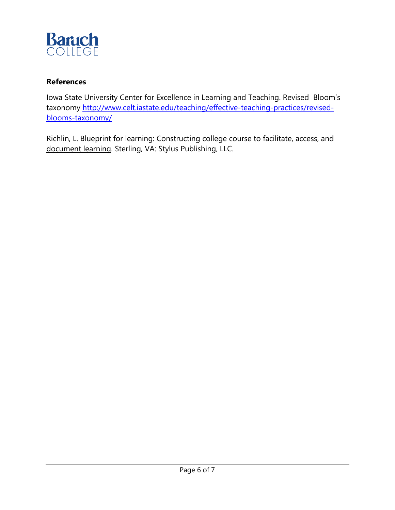

#### **References**

Iowa State University Center for Excellence in Learning and Teaching. Revised Bloom's taxonomy http://www.celt.iastate.edu/teaching/effective-teaching-practices/revisedblooms-taxonomy/

Richlin, L. Blueprint for learning: Constructing college course to facilitate, access, and document learning. Sterling, VA: Stylus Publishing, LLC.